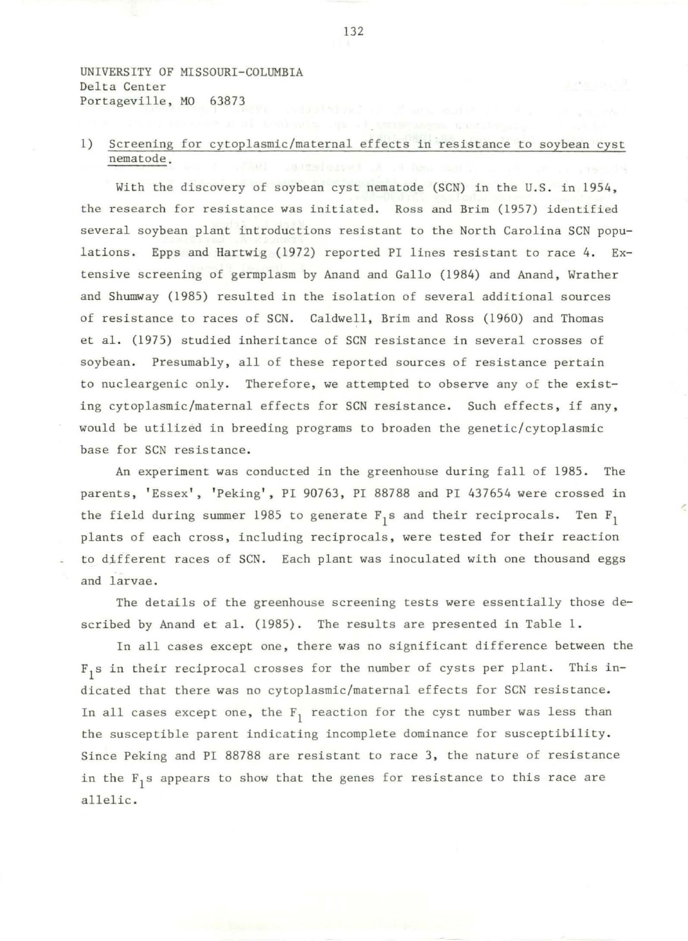UNIVERSITY OF MISSOURI-COLUMBIA Delta Center Portageville, MO 63873

## 1) Screening for cytoplasmic/maternal effects in resistance to soybean cyst nematode.

With the discovery of soybean cyst nematode (SCN) in the U.S. in 1954, the research for resistance was initiated. Ross and Brim (1957) identified several soybean plant introductions resistant to the North Carolina SCN populations. Epps and Hartwig (1972) reported PI lines resistant to race 4. Extensive screening of germplasm by Anand and Gallo (1984) and Anand, Wrather and Shumway (1985) resulted in the isolation of several additional sources of resistance to races of SCN. Caldwell, Brim and Ross (1960) and Thomas et al. (1975) studied inheritance of SCN resistance in several crosses of soybean. Presumably, all of these reported sources of resistance pertain to nucleargenic only. Therefore, we attempted to observe any of the existing cytoplasmic/maternal effects for SCN resistance. Such effects, if any, would be utilized in breeding programs to broaden the genetic/cytoplasmic base for SCN resistance.

An experiment was conducted in the greenhouse during fall of 1985. The parents, 'Essex', 'Peking', PI 90763, PI 88788 and PI 437654 were crossed in the field during summer 1985 to generate  $F_1$ s and their reciprocals. Ten  $F_1$ plants of each cross, including reciprocals, were tested for their reaction to different races of SCN. Each plant was inoculated with one thousand eggs and larvae.

The details of the greenhouse screening tests were essentially those described by Anand et al. (1985). The results are presented in Table 1 .

In all cases except one, there was no significant difference between the  $\mathbb{F}_1$ s in their reciprocal crosses for the number of cysts per plant. This indicated that there was no cytoplasmic/maternal effects for SCN resistance. In all cases except one, the  $F_1$  reaction for the cyst number was less than the susceptible parent indicating incomplete dominance for susceptibility. Since Peking and PI 88788 are resistant to race 3, the nature of resistance in the F<sub>1</sub>s appears to show that the genes for resistance to this race are allelic.

132